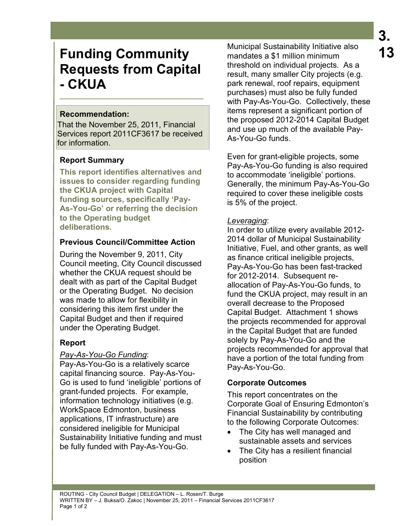# **Funding Community Requests from Capital - CKUA**

#### **Recommendation:**

That the November 25, 2011, Financial Services report 2011CF3617 be received for information.

## **Report Summary**

**This report identifies alternatives and issues to consider regarding funding the CKUA project with Capital funding sources, specifically 'Pay-As-You-Go' or referring the decision to the Operating budget deliberations.** 

## **Previous Council/Committee Action**

During the November 9, 2011, City Council meeting, City Council discussed whether the CKUA request should be dealt with as part of the Capital Budget or the Operating Budget. No decision was made to allow for flexibility in considering this item first under the Capital Budget and then if required under the Operating Budget.

## **Report**

#### *Pay-As-You-Go Funding*:

Pay-As-You-Go is a relatively scarce capital financing source. Pay-As-You-Go is used to fund 'ineligible' portions of grant-funded projects. For example, information technology initiatives (e.g. WorkSpace Edmonton, business applications, IT infrastructure) are considered ineligible for Municipal Sustainability Initiative funding and must be fully funded with Pay-As-You-Go.

Municipal Sustainability Initiative also mandates a \$1 million minimum threshold on individual projects. As a result, many smaller City projects (e.g. park renewal, roof repairs, equipment purchases) must also be fully funded with Pay-As-You-Go. Collectively, these items represent a significant portion of the proposed 2012-2014 Capital Budget and use up much of the available Pay-As-You-Go funds.

Even for grant-eligible projects, some Pay-As-You-Go funding is also required to accommodate 'ineligible' portions. Generally, the minimum Pay-As-You-Go required to cover these ineligible costs is 5% of the project.

#### *Leveraging*:

In order to utilize every available 2012- 2014 dollar of Municipal Sustainability Initiative, Fuel, and other grants, as well as finance critical ineligible projects, Pay-As-You-Go has been fast-tracked for 2012-2014. Subsequent reallocation of Pay-As-You-Go funds, to fund the CKUA project, may result in an overall decrease to the Proposed Capital Budget. Attachment 1 shows the projects recommended for approval in the Capital Budget that are funded solely by Pay-As-You-Go and the projects recommended for approval that have a portion of the total funding from Pay-As-You-Go.

## **Corporate Outcomes**

This report concentrates on the Corporate Goal of Ensuring Edmonton's Financial Sustainability by contributing to the following Corporate Outcomes:

- The City has well managed and sustainable assets and services
- The City has a resilient financial position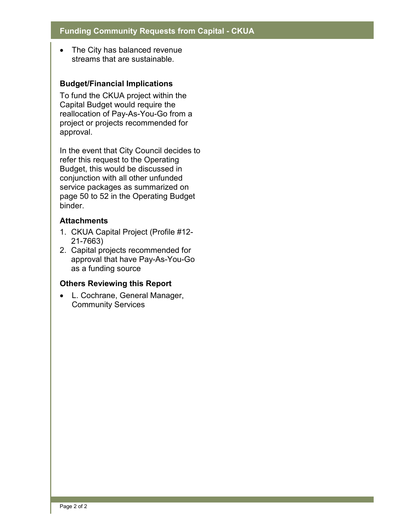• The City has balanced revenue streams that are sustainable.

#### **Budget/Financial Implications**

To fund the CKUA project within the Capital Budget would require the reallocation of Pay-As-You-Go from a project or projects recommended for approval.

In the event that City Council decides to refer this request to the Operating Budget, this would be discussed in conjunction with all other unfunded service packages as summarized on page 50 to 52 in the Operating Budget binder.

#### **Attachments**

- 1. CKUA Capital Project (Profile #12- 21-7663)
- 2. Capital projects recommended for approval that have Pay-As-You-Go as a funding source

#### **Others Reviewing this Report**

• L. Cochrane, General Manager, Community Services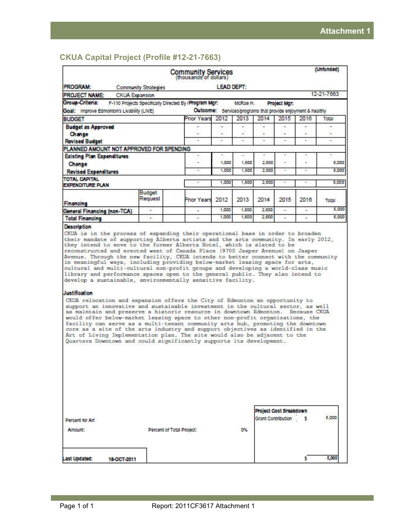#### **CKUA Capital Project (Profile #12-21-7663)**

|                                                                                                                                                                                                                                                                                                                                                                                                                                                                                                                                                                                                                                                                                                                                                                  |                                                       | Community Services       |                   |         |       |              |                                                             | (Unfunded) |
|------------------------------------------------------------------------------------------------------------------------------------------------------------------------------------------------------------------------------------------------------------------------------------------------------------------------------------------------------------------------------------------------------------------------------------------------------------------------------------------------------------------------------------------------------------------------------------------------------------------------------------------------------------------------------------------------------------------------------------------------------------------|-------------------------------------------------------|--------------------------|-------------------|---------|-------|--------------|-------------------------------------------------------------|------------|
| <b>PROGRAM:</b>                                                                                                                                                                                                                                                                                                                                                                                                                                                                                                                                                                                                                                                                                                                                                  | <b>Community Strategies</b>                           |                          | <b>LEAD DEPT:</b> |         |       |              |                                                             |            |
| <b>PROJECT NAME:</b>                                                                                                                                                                                                                                                                                                                                                                                                                                                                                                                                                                                                                                                                                                                                             | <b>CKUA Expansion</b>                                 |                          |                   |         |       |              |                                                             | 12-21-7663 |
| Group-Criteria:                                                                                                                                                                                                                                                                                                                                                                                                                                                                                                                                                                                                                                                                                                                                                  | F-110 Projects Specifically Directed By (Program Mgr. |                          |                   | McRae H |       | Project Mgr: |                                                             |            |
| Goal: Improve Edmonton's Livability (LIVE)                                                                                                                                                                                                                                                                                                                                                                                                                                                                                                                                                                                                                                                                                                                       |                                                       |                          |                   |         |       |              | Outcome: Services/programs that provide enjoyment & healthy |            |
| <b>BUDGET</b>                                                                                                                                                                                                                                                                                                                                                                                                                                                                                                                                                                                                                                                                                                                                                    |                                                       | <b>Prior Years</b>       | 2012              | 2013    | 2014  | 2015         | 2016                                                        | Total      |
| <b>Budget as Approved</b>                                                                                                                                                                                                                                                                                                                                                                                                                                                                                                                                                                                                                                                                                                                                        |                                                       |                          |                   |         |       |              |                                                             |            |
| Change                                                                                                                                                                                                                                                                                                                                                                                                                                                                                                                                                                                                                                                                                                                                                           |                                                       |                          |                   |         |       |              |                                                             |            |
| <b>Revised Budget</b>                                                                                                                                                                                                                                                                                                                                                                                                                                                                                                                                                                                                                                                                                                                                            |                                                       | ٠                        | ٠                 | ٠       | ٠     | ٠            | ٠                                                           | ×.         |
| PLANNED AMOUNT NOT APPROVED FOR SPENDING                                                                                                                                                                                                                                                                                                                                                                                                                                                                                                                                                                                                                                                                                                                         |                                                       |                          |                   |         |       |              |                                                             |            |
| <b>Existing Plan Expenditures</b>                                                                                                                                                                                                                                                                                                                                                                                                                                                                                                                                                                                                                                                                                                                                |                                                       | ۰                        |                   |         |       |              |                                                             |            |
| Change                                                                                                                                                                                                                                                                                                                                                                                                                                                                                                                                                                                                                                                                                                                                                           |                                                       | ÷                        | 1,000             | 1,500   | 2,500 | c            |                                                             | 5,000      |
| <b>Revised Expenditures</b>                                                                                                                                                                                                                                                                                                                                                                                                                                                                                                                                                                                                                                                                                                                                      |                                                       | $\overline{\phantom{a}}$ | 1,000             | 1.500   | 2.500 | ٠            | ×                                                           | 5,000      |
| <b>TOTAL CAPITAL</b><br><b>EXPENDITURE PLAN</b>                                                                                                                                                                                                                                                                                                                                                                                                                                                                                                                                                                                                                                                                                                                  |                                                       |                          | 1,000             | 1,500   | 2.500 | ۰            |                                                             | 5,000      |
| Financing                                                                                                                                                                                                                                                                                                                                                                                                                                                                                                                                                                                                                                                                                                                                                        | <b>Budget</b><br>Request                              | <b>Prior Years</b>       | 2012              | 2013    | 2014  | 2015         | 2016                                                        | Total      |
| <b>General Financing (non-TCA)</b>                                                                                                                                                                                                                                                                                                                                                                                                                                                                                                                                                                                                                                                                                                                               | ÷                                                     | ä,                       | 1,000             | 1,500   | 2,500 | ٠            | ٠                                                           | 5,000      |
| <b>Total Financing</b>                                                                                                                                                                                                                                                                                                                                                                                                                                                                                                                                                                                                                                                                                                                                           |                                                       |                          | 1,000             | 1.500   | 2500  | ÷            |                                                             | 5.000      |
| <b>Description</b><br>CKUA is in the process of expanding their operational base in order to broaden<br>their mandate of supporting Alberta artists and the arts community. In early 2012,<br>they intend to move to the former Alberta Hotel, which is slated to be<br>reconstructed and erected west of Canada Place (9700 Jasper Avenue) on Jasper<br>Avenue. Through the new facility, CKUA intends to better connect with the community<br>in meaningful ways, including providing below-market leasing space for arts,<br>cultural and multi-cultural non-profit groups and developing a world-class music<br>library and performance spaces open to the general public. They also intend to<br>develop a sustainable, environmentally sensitive facility. |                                                       |                          |                   |         |       |              |                                                             |            |
| Justification                                                                                                                                                                                                                                                                                                                                                                                                                                                                                                                                                                                                                                                                                                                                                    |                                                       |                          |                   |         |       |              |                                                             |            |

CKUA relocation and expansion offers the City of Edmonton an opportunity to support an innovative and sustainable investment in the cultural sector, as well as maintain and preserve a historic resource in downtown Edmonton. Because CKUA as maintain and preserve a nistoric resource in downtown Edmonton. Because CKNA<br>would offer below-market leasing space to other non-profit organizations, the<br>facility can serve as a multi-tenant community arts hub, promoti

|                                     |                           |    | Project Cost Breakdown |       |
|-------------------------------------|---------------------------|----|------------------------|-------|
| Percent for Art                     |                           |    | Grant Contribution 5   | 5,000 |
| Amount:                             | Percent of Total Project: | 0% |                        |       |
|                                     |                           |    |                        |       |
| <b>Last Updated:</b><br>18-OCT-2011 |                           |    |                        | 5,000 |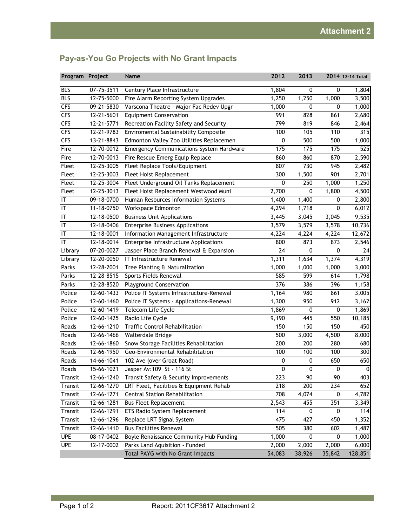| Program Project        |                          | <b>Name</b>                                     | 2012            | 2013             |        | 2014 12-14 Total |
|------------------------|--------------------------|-------------------------------------------------|-----------------|------------------|--------|------------------|
| <b>BLS</b>             | 07-75-3511               | Century Place Infrastructure                    | 1,804           | 0                | 0      | 1,804            |
| <b>BLS</b>             | 12-75-5000               | Fire Alarm Reporting System Upgrades            | 1,250           | 1,250            | 1,000  | 3,500            |
| <b>CFS</b>             | 09-21-5830               | Varscona Theatre - Major Fac Redev Upgr         | 1,000           | 0                | 0      | 1,000            |
| <b>CFS</b>             | 12-21-5601               | <b>Equipment Conservation</b>                   | 991             | 828              | 861    | 2,680            |
| <b>CFS</b>             | 12-21-5771               | Recreation Facility Safety and Security         | 799             | 819              | 846    | 2,464            |
| <b>CFS</b>             | 12-21-9783               | Enviromental Sustainability Composite           | 100             | 105              | 110    | 315              |
| <b>CFS</b>             | 13-21-8843               | Edmonton Valley Zoo Utilities Replacemen        | 0               | 500              | 500    | 1,000            |
| Fire                   | 12-70-0012               | <b>Emergency Communications System Hardware</b> | 175             | 175              | 175    | 525              |
| Fire                   | 12-70-0013               | Fire Rescue Emerg Equip Replace                 | 860             | 860              | 870    | 2,590            |
| Fleet                  | 12-25-3005               | Fleet Replace Tools/Equipment                   | 807             | 730              | 945    | 2,482            |
| Fleet                  | 12-25-3003               | Fleet Hoist Replacement                         | 300             | 1,500            | 901    | 2,701            |
| Fleet                  | 12-25-3004               | Fleet Underground Oil Tanks Replacement         | 0               | 250              | 1,000  | 1,250            |
| Fleet                  | 12-25-3013               | Fleet Hoist Replacement Westwood Muni           | 2,700           | $\boldsymbol{0}$ | 1,800  | 4,500            |
| IT                     | 09-18-0700               | Human Resources Information Systems             | 1,400           | 1,400            | 0      | 2,800            |
| $\mathsf{I}\mathsf{T}$ | 11-18-0750               | Workspace Edmonton                              | 4,294           | 1,718            | 0      | 6,012            |
| IT                     | 12-18-0500               | <b>Business Unit Applications</b>               | 3,445           | 3,045            | 3,045  | 9,535            |
| $\mathsf{I}\mathsf{T}$ | 12-18-0406               | <b>Enterprise Business Applications</b>         | 3,579           | 3,579            | 3,578  | 10,736           |
| IT                     | 12-18-0001               | Information Management Infrastructure           | 4,224           | 4,224            | 4,224  | 12,672           |
| IT                     | 12-18-0014               | Enterprise Infrastructure Applications          | 800             | 873              | 873    | 2,546            |
| Library                | $\overline{07}$ -20-0027 | Jasper Place Branch Renewal & Expansion         | $\overline{24}$ | 0                | 0      | 24               |
| Library                | 12-20-0050               | IT Infrastructure Renewal                       | 1,311           | 1,634            | 1,374  | 4,319            |
| Parks                  | 12-28-2001               | Tree Planting & Naturalization                  | 1,000           | 1,000            | 1,000  | 3,000            |
| Parks                  | 12-28-8515               | Sports Fields Renewal                           | 585             | 599              | 614    | 1,798            |
| Parks                  | 12-28-8520               | <b>Playground Conservation</b>                  | 376             | 386              | 396    | 1,158            |
| Police                 | 12-60-1433               | Police IT Systems Infrastructure-Renewal        | 1,164           | 980              | 861    | 3,005            |
| Police                 | 12-60-1460               | Police IT Systems - Applications-Renewal        | 1,300           | 950              | 912    | 3,162            |
| Police                 | 12-60-1419               | Telecom Life Cycle                              | 1,869           | 0                | 0      | 1,869            |
| Police                 | 12-60-1425               | Radio Life Cycle                                | 9,190           | 445              | 550    | 10,185           |
| Roads                  | 12-66-1210               | <b>Traffic Control Rehabilitation</b>           | 150             | 150              | 150    | 450              |
| Roads                  | 12-66-1466               | Walterdale Bridge                               | 500             | 3,000            | 4,500  | 8,000            |
| Roads                  | 12-66-1860               | Snow Storage Facilities Rehabilitation          | 200             | 200              | 280    | 680              |
| Roads                  | 12-66-1950               | Geo-Environmental Rehabilitation                | 100             | 100              | 100    | 300              |
| Roads                  | 14-66-1041               | 102 Ave (over Groat Road)                       | $\pmb{0}$       | $\pmb{0}$        | 650    | 650              |
| Roads                  | 15-66-1021               | Jasper Av: 109 St - 116 St                      | 0               | 0                | 0      | $\Omega$         |
| Transit                | 12-66-1240               | Transit Safety & Security Improvements          | 223             | 90               | 90     | 403              |
| Transit                | 12-66-1270               | LRT Fleet, Facilities & Equipment Rehab         | 218             | 200              | 234    | 652              |
| Transit                | 12-66-1271               | Central Station Rehabilitation                  | 708             | 4,074            | 0      | 4,782            |
| Transit                | 12-66-1281               | <b>Bus Fleet Replacement</b>                    | 2,543           | 455              | 351    | 3,349            |
| Transit                | 12-66-1291               | ETS Radio System Replacement                    | 114             | 0                | 0      | 114              |
| Transit                | 12-66-1296               | Replace LRT Signal System                       | 475             | 427              | 450    | 1,352            |
| Transit                | 12-66-1410               | <b>Bus Facilities Renewal</b>                   | 505             | 380              | 602    | 1,487            |
| <b>UPE</b>             | 08-17-0402               | Boyle Renaissance Community Hub Funding         | 1,000           | 0                | 0      | 1,000            |
| <b>UPE</b>             | 12-17-0002               | Parks Land Aquisition - Funded                  | 2,000           | 2,000            | 2,000  | 6,000            |
|                        |                          | Total PAYG with No Grant Impacts                | 54,083          | 38,926           | 35,842 | 128,851          |

## **Pay-as-You Go Projects with No Grant Impacts**